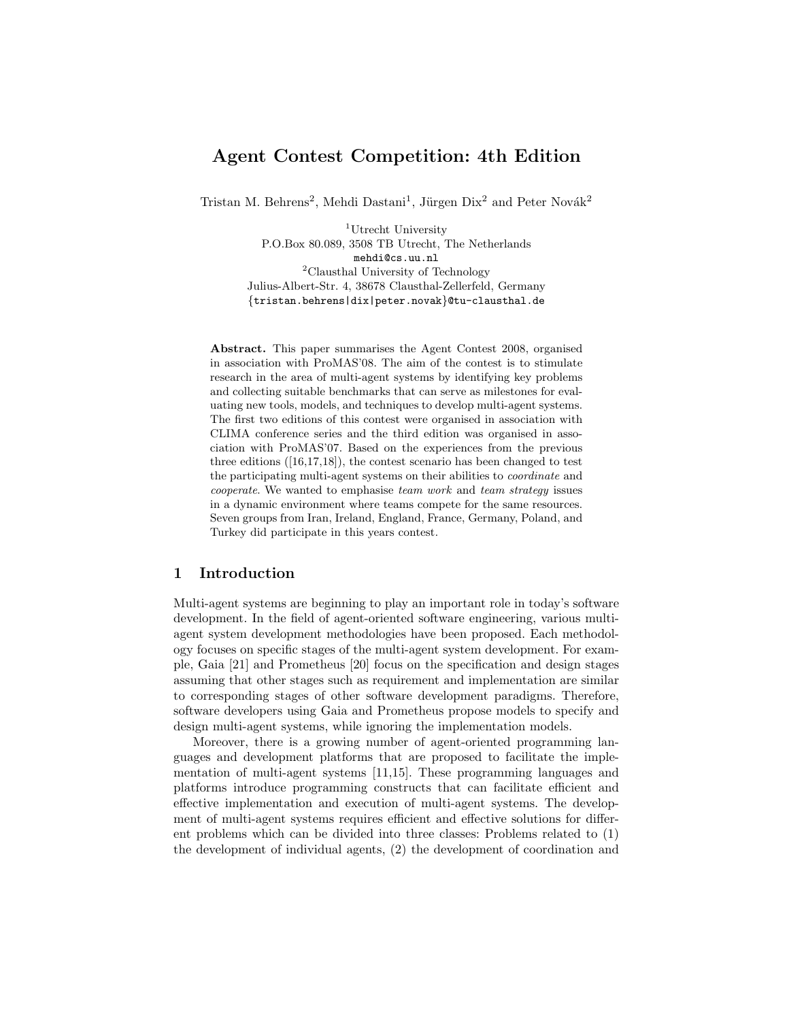# Agent Contest Competition: 4th Edition

Tristan M. Behrens<sup>2</sup>, Mehdi Dastani<sup>1</sup>, Jürgen Dix<sup>2</sup> and Peter Novák<sup>2</sup>

<sup>1</sup>Utrecht University P.O.Box 80.089, 3508 TB Utrecht, The Netherlands mehdi@cs.uu.nl <sup>2</sup>Clausthal University of Technology Julius-Albert-Str. 4, 38678 Clausthal-Zellerfeld, Germany {tristan.behrens|dix|peter.novak}@tu-clausthal.de

Abstract. This paper summarises the Agent Contest 2008, organised in association with ProMAS'08. The aim of the contest is to stimulate research in the area of multi-agent systems by identifying key problems and collecting suitable benchmarks that can serve as milestones for evaluating new tools, models, and techniques to develop multi-agent systems. The first two editions of this contest were organised in association with CLIMA conference series and the third edition was organised in association with ProMAS'07. Based on the experiences from the previous three editions ([16,17,18]), the contest scenario has been changed to test the participating multi-agent systems on their abilities to coordinate and cooperate. We wanted to emphasise team work and team strategy issues in a dynamic environment where teams compete for the same resources. Seven groups from Iran, Ireland, England, France, Germany, Poland, and Turkey did participate in this years contest.

# 1 Introduction

Multi-agent systems are beginning to play an important role in today's software development. In the field of agent-oriented software engineering, various multiagent system development methodologies have been proposed. Each methodology focuses on specific stages of the multi-agent system development. For example, Gaia [21] and Prometheus [20] focus on the specification and design stages assuming that other stages such as requirement and implementation are similar to corresponding stages of other software development paradigms. Therefore, software developers using Gaia and Prometheus propose models to specify and design multi-agent systems, while ignoring the implementation models.

Moreover, there is a growing number of agent-oriented programming languages and development platforms that are proposed to facilitate the implementation of multi-agent systems [11,15]. These programming languages and platforms introduce programming constructs that can facilitate efficient and effective implementation and execution of multi-agent systems. The development of multi-agent systems requires efficient and effective solutions for different problems which can be divided into three classes: Problems related to (1) the development of individual agents, (2) the development of coordination and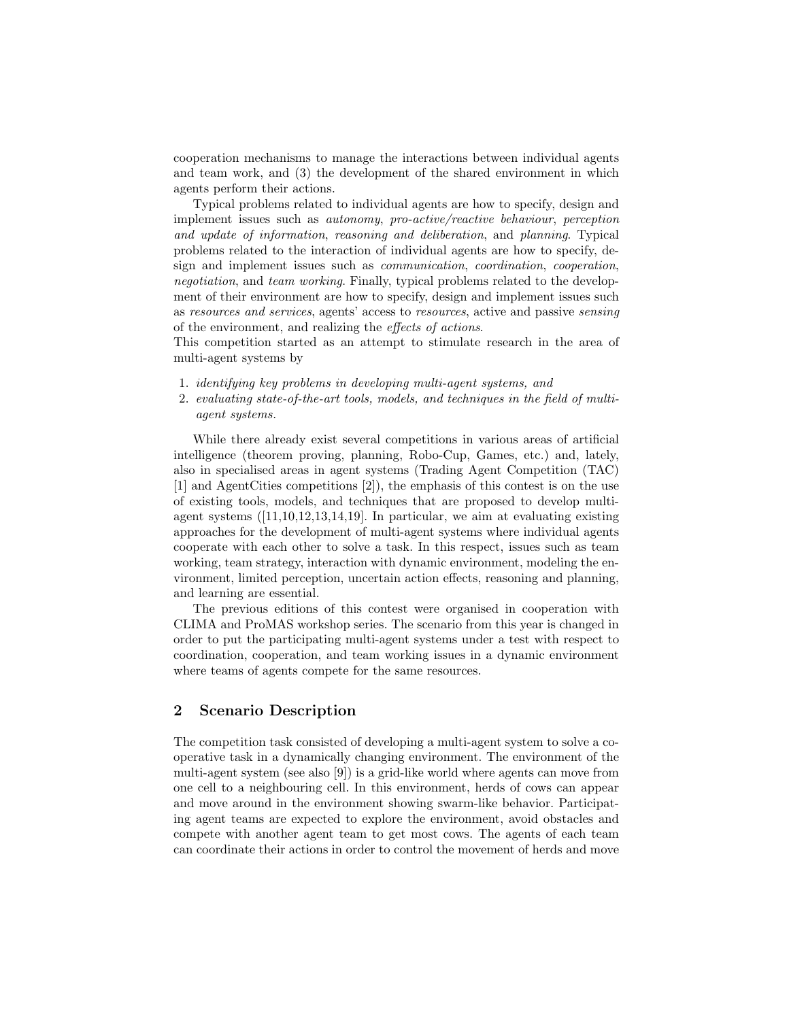cooperation mechanisms to manage the interactions between individual agents and team work, and (3) the development of the shared environment in which agents perform their actions.

Typical problems related to individual agents are how to specify, design and implement issues such as autonomy, pro-active/reactive behaviour, perception and update of information, reasoning and deliberation, and planning. Typical problems related to the interaction of individual agents are how to specify, design and implement issues such as communication, coordination, cooperation, negotiation, and team working. Finally, typical problems related to the development of their environment are how to specify, design and implement issues such as resources and services, agents' access to resources, active and passive sensing of the environment, and realizing the effects of actions.

This competition started as an attempt to stimulate research in the area of multi-agent systems by

- 1. identifying key problems in developing multi-agent systems, and
- 2. evaluating state-of-the-art tools, models, and techniques in the field of multiagent systems.

While there already exist several competitions in various areas of artificial intelligence (theorem proving, planning, Robo-Cup, Games, etc.) and, lately, also in specialised areas in agent systems (Trading Agent Competition (TAC) [1] and AgentCities competitions [2]), the emphasis of this contest is on the use of existing tools, models, and techniques that are proposed to develop multiagent systems  $([11,10,12,13,14,19]$ . In particular, we aim at evaluating existing approaches for the development of multi-agent systems where individual agents cooperate with each other to solve a task. In this respect, issues such as team working, team strategy, interaction with dynamic environment, modeling the environment, limited perception, uncertain action effects, reasoning and planning, and learning are essential.

The previous editions of this contest were organised in cooperation with CLIMA and ProMAS workshop series. The scenario from this year is changed in order to put the participating multi-agent systems under a test with respect to coordination, cooperation, and team working issues in a dynamic environment where teams of agents compete for the same resources.

# 2 Scenario Description

The competition task consisted of developing a multi-agent system to solve a cooperative task in a dynamically changing environment. The environment of the multi-agent system (see also [9]) is a grid-like world where agents can move from one cell to a neighbouring cell. In this environment, herds of cows can appear and move around in the environment showing swarm-like behavior. Participating agent teams are expected to explore the environment, avoid obstacles and compete with another agent team to get most cows. The agents of each team can coordinate their actions in order to control the movement of herds and move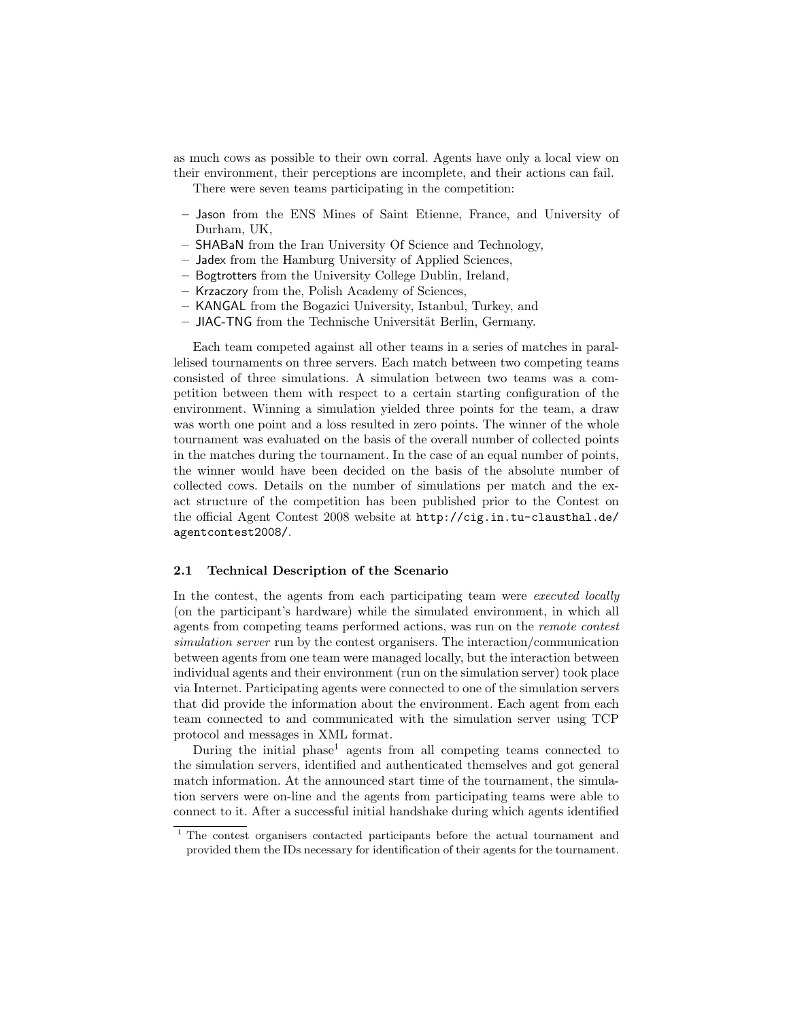as much cows as possible to their own corral. Agents have only a local view on their environment, their perceptions are incomplete, and their actions can fail.

There were seven teams participating in the competition:

- Jason from the ENS Mines of Saint Etienne, France, and University of Durham, UK,
- SHABaN from the Iran University Of Science and Technology,
- Jadex from the Hamburg University of Applied Sciences,
- Bogtrotters from the University College Dublin, Ireland,
- Krzaczory from the, Polish Academy of Sciences,
- KANGAL from the Bogazici University, Istanbul, Turkey, and
- JIAC-TNG from the Technische Universität Berlin, Germany.

Each team competed against all other teams in a series of matches in parallelised tournaments on three servers. Each match between two competing teams consisted of three simulations. A simulation between two teams was a competition between them with respect to a certain starting configuration of the environment. Winning a simulation yielded three points for the team, a draw was worth one point and a loss resulted in zero points. The winner of the whole tournament was evaluated on the basis of the overall number of collected points in the matches during the tournament. In the case of an equal number of points, the winner would have been decided on the basis of the absolute number of collected cows. Details on the number of simulations per match and the exact structure of the competition has been published prior to the Contest on the official Agent Contest 2008 website at http://cig.in.tu-clausthal.de/ agentcontest2008/.

#### 2.1 Technical Description of the Scenario

In the contest, the agents from each participating team were *executed locally* (on the participant's hardware) while the simulated environment, in which all agents from competing teams performed actions, was run on the remote contest simulation server run by the contest organisers. The interaction/communication between agents from one team were managed locally, but the interaction between individual agents and their environment (run on the simulation server) took place via Internet. Participating agents were connected to one of the simulation servers that did provide the information about the environment. Each agent from each team connected to and communicated with the simulation server using TCP protocol and messages in XML format.

During the initial phase<sup>1</sup> agents from all competing teams connected to the simulation servers, identified and authenticated themselves and got general match information. At the announced start time of the tournament, the simulation servers were on-line and the agents from participating teams were able to connect to it. After a successful initial handshake during which agents identified

<sup>&</sup>lt;sup>1</sup> The contest organisers contacted participants before the actual tournament and provided them the IDs necessary for identification of their agents for the tournament.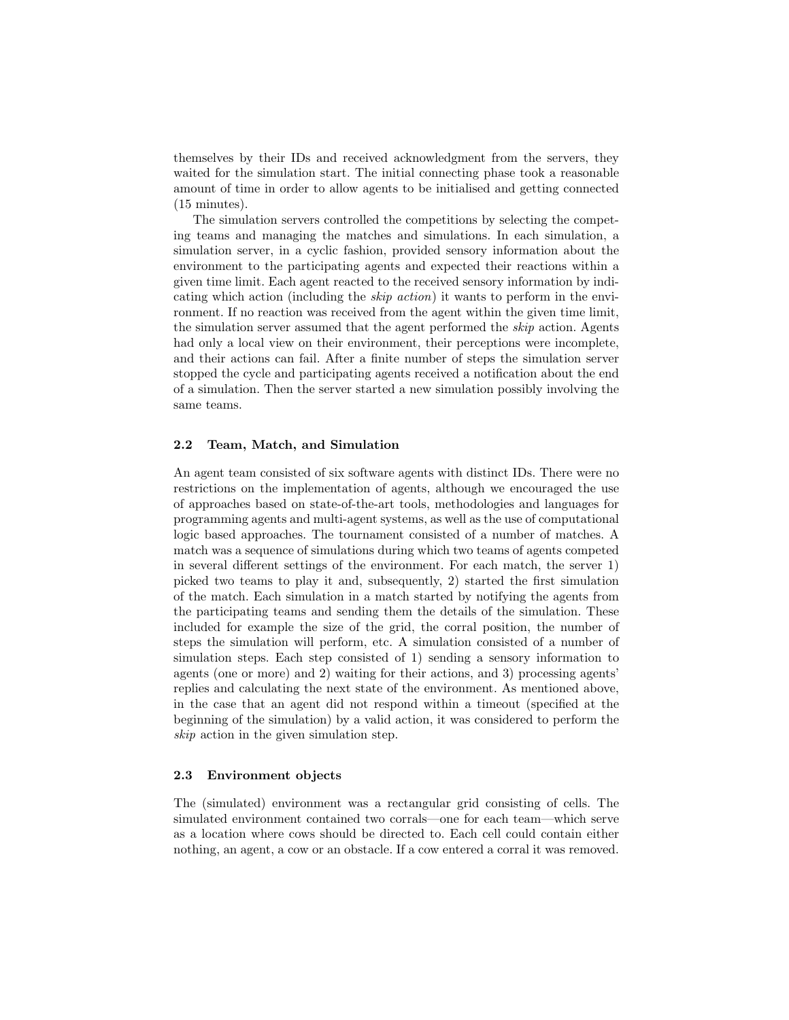themselves by their IDs and received acknowledgment from the servers, they waited for the simulation start. The initial connecting phase took a reasonable amount of time in order to allow agents to be initialised and getting connected (15 minutes).

The simulation servers controlled the competitions by selecting the competing teams and managing the matches and simulations. In each simulation, a simulation server, in a cyclic fashion, provided sensory information about the environment to the participating agents and expected their reactions within a given time limit. Each agent reacted to the received sensory information by indicating which action (including the skip action) it wants to perform in the environment. If no reaction was received from the agent within the given time limit, the simulation server assumed that the agent performed the skip action. Agents had only a local view on their environment, their perceptions were incomplete, and their actions can fail. After a finite number of steps the simulation server stopped the cycle and participating agents received a notification about the end of a simulation. Then the server started a new simulation possibly involving the same teams.

### 2.2 Team, Match, and Simulation

An agent team consisted of six software agents with distinct IDs. There were no restrictions on the implementation of agents, although we encouraged the use of approaches based on state-of-the-art tools, methodologies and languages for programming agents and multi-agent systems, as well as the use of computational logic based approaches. The tournament consisted of a number of matches. A match was a sequence of simulations during which two teams of agents competed in several different settings of the environment. For each match, the server 1) picked two teams to play it and, subsequently, 2) started the first simulation of the match. Each simulation in a match started by notifying the agents from the participating teams and sending them the details of the simulation. These included for example the size of the grid, the corral position, the number of steps the simulation will perform, etc. A simulation consisted of a number of simulation steps. Each step consisted of 1) sending a sensory information to agents (one or more) and 2) waiting for their actions, and 3) processing agents' replies and calculating the next state of the environment. As mentioned above, in the case that an agent did not respond within a timeout (specified at the beginning of the simulation) by a valid action, it was considered to perform the skip action in the given simulation step.

### 2.3 Environment objects

The (simulated) environment was a rectangular grid consisting of cells. The simulated environment contained two corrals—one for each team—which serve as a location where cows should be directed to. Each cell could contain either nothing, an agent, a cow or an obstacle. If a cow entered a corral it was removed.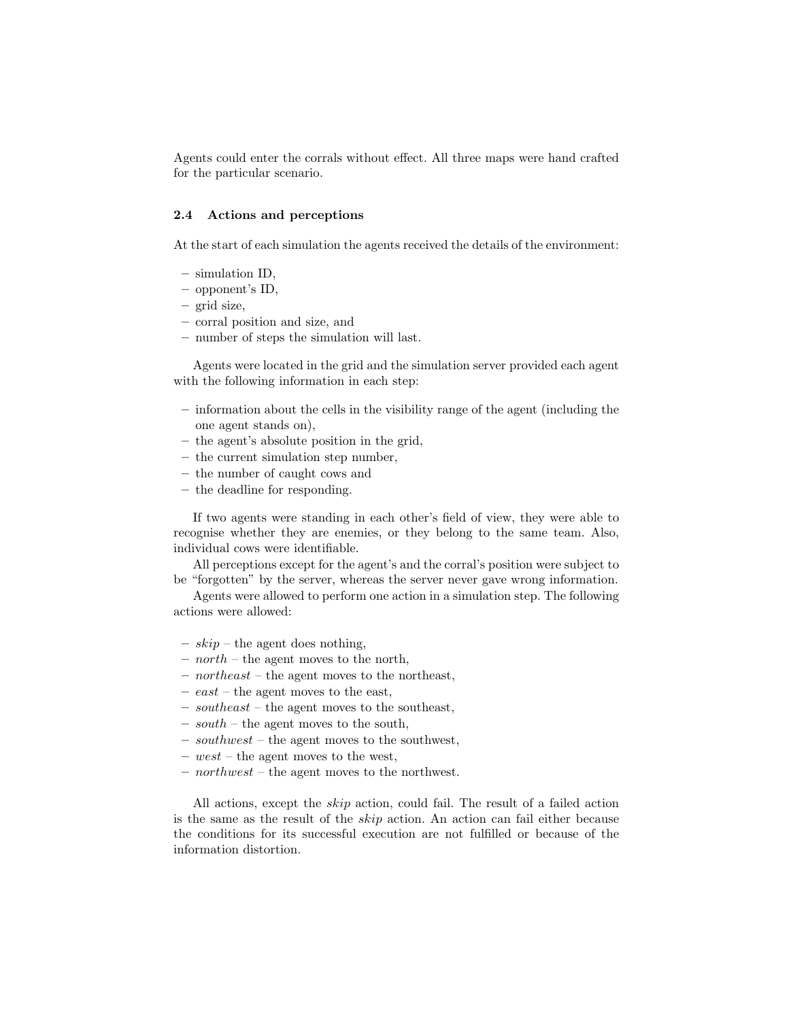Agents could enter the corrals without effect. All three maps were hand crafted for the particular scenario.

### 2.4 Actions and perceptions

At the start of each simulation the agents received the details of the environment:

- simulation ID,
- opponent's ID,
- grid size,
- corral position and size, and
- number of steps the simulation will last.

Agents were located in the grid and the simulation server provided each agent with the following information in each step:

- information about the cells in the visibility range of the agent (including the one agent stands on),
- the agent's absolute position in the grid,
- the current simulation step number,
- the number of caught cows and
- the deadline for responding.

If two agents were standing in each other's field of view, they were able to recognise whether they are enemies, or they belong to the same team. Also, individual cows were identifiable.

All perceptions except for the agent's and the corral's position were subject to be "forgotten" by the server, whereas the server never gave wrong information.

Agents were allowed to perform one action in a simulation step. The following actions were allowed:

- $-$  skip the agent does nothing,
- $north$  the agent moves to the north,
- $-$  *northeast* the agent moves to the northeast,
- $east$  the agent moves to the east,
- $-$  southeast the agent moves to the southeast,
- $-$  south the agent moves to the south,
- $-$  southwest the agent moves to the southwest,
- $west$  the agent moves to the west,
- $-$  *northwest* the agent moves to the northwest.

All actions, except the skip action, could fail. The result of a failed action is the same as the result of the skip action. An action can fail either because the conditions for its successful execution are not fulfilled or because of the information distortion.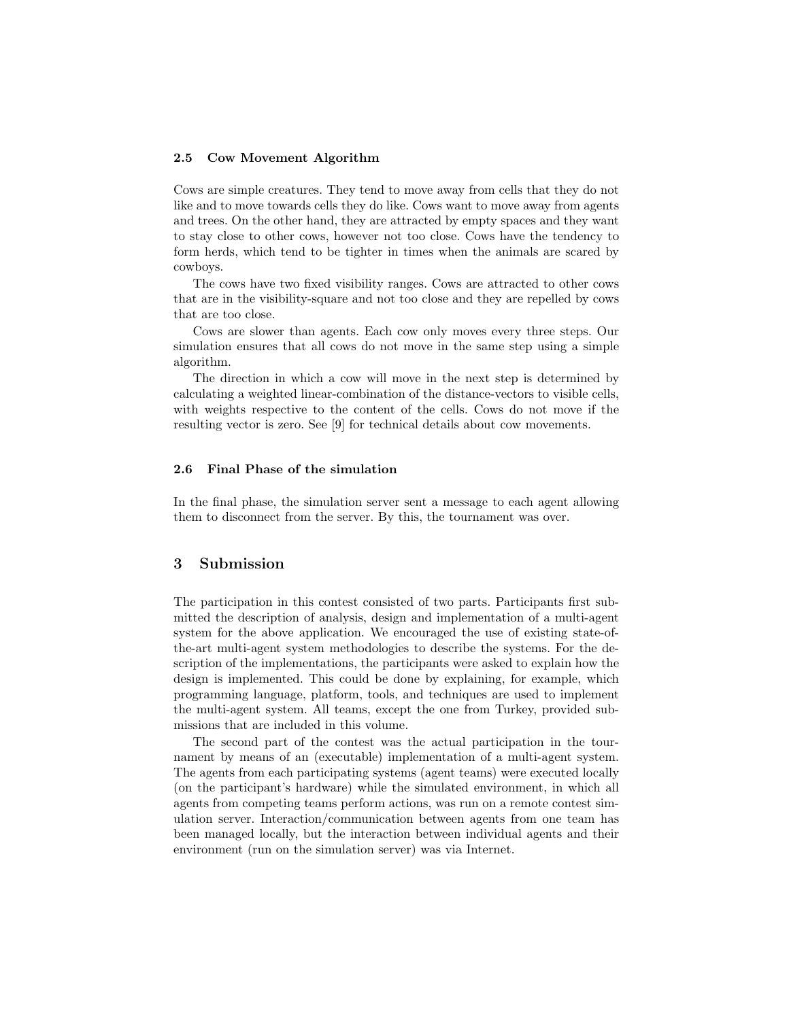#### 2.5 Cow Movement Algorithm

Cows are simple creatures. They tend to move away from cells that they do not like and to move towards cells they do like. Cows want to move away from agents and trees. On the other hand, they are attracted by empty spaces and they want to stay close to other cows, however not too close. Cows have the tendency to form herds, which tend to be tighter in times when the animals are scared by cowboys.

The cows have two fixed visibility ranges. Cows are attracted to other cows that are in the visibility-square and not too close and they are repelled by cows that are too close.

Cows are slower than agents. Each cow only moves every three steps. Our simulation ensures that all cows do not move in the same step using a simple algorithm.

The direction in which a cow will move in the next step is determined by calculating a weighted linear-combination of the distance-vectors to visible cells, with weights respective to the content of the cells. Cows do not move if the resulting vector is zero. See [9] for technical details about cow movements.

### 2.6 Final Phase of the simulation

In the final phase, the simulation server sent a message to each agent allowing them to disconnect from the server. By this, the tournament was over.

## 3 Submission

The participation in this contest consisted of two parts. Participants first submitted the description of analysis, design and implementation of a multi-agent system for the above application. We encouraged the use of existing state-ofthe-art multi-agent system methodologies to describe the systems. For the description of the implementations, the participants were asked to explain how the design is implemented. This could be done by explaining, for example, which programming language, platform, tools, and techniques are used to implement the multi-agent system. All teams, except the one from Turkey, provided submissions that are included in this volume.

The second part of the contest was the actual participation in the tournament by means of an (executable) implementation of a multi-agent system. The agents from each participating systems (agent teams) were executed locally (on the participant's hardware) while the simulated environment, in which all agents from competing teams perform actions, was run on a remote contest simulation server. Interaction/communication between agents from one team has been managed locally, but the interaction between individual agents and their environment (run on the simulation server) was via Internet.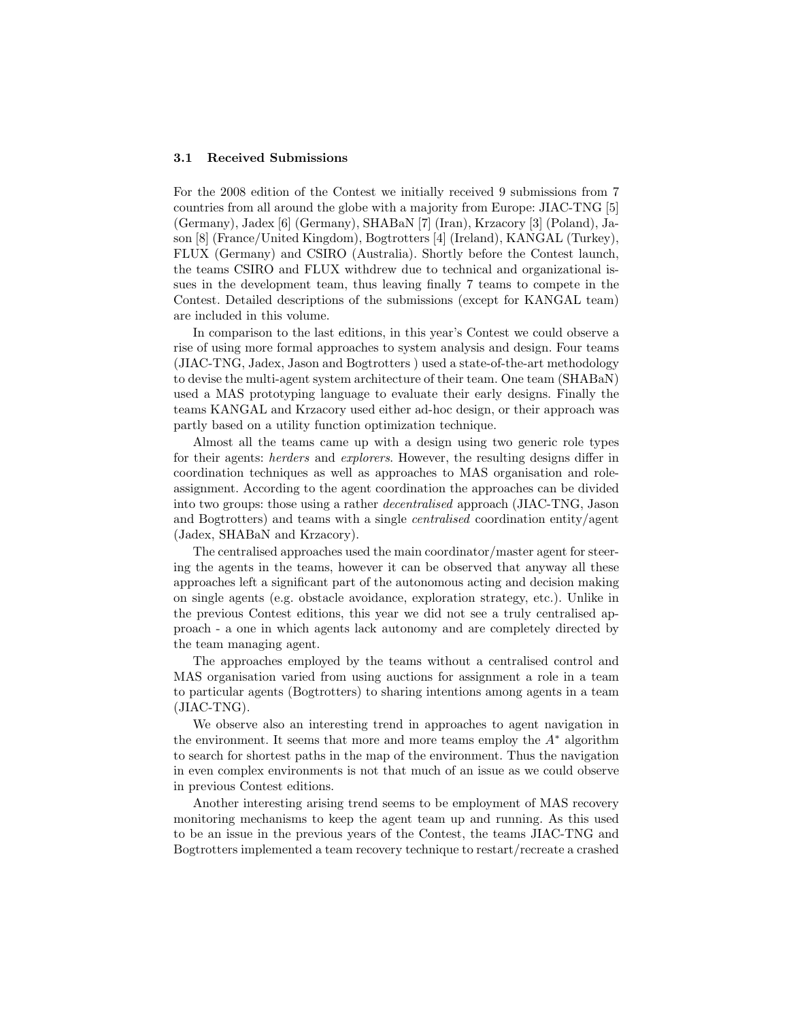#### 3.1 Received Submissions

For the 2008 edition of the Contest we initially received 9 submissions from 7 countries from all around the globe with a majority from Europe: JIAC-TNG [5] (Germany), Jadex [6] (Germany), SHABaN [7] (Iran), Krzacory [3] (Poland), Jason [8] (France/United Kingdom), Bogtrotters [4] (Ireland), KANGAL (Turkey), FLUX (Germany) and CSIRO (Australia). Shortly before the Contest launch, the teams CSIRO and FLUX withdrew due to technical and organizational issues in the development team, thus leaving finally 7 teams to compete in the Contest. Detailed descriptions of the submissions (except for KANGAL team) are included in this volume.

In comparison to the last editions, in this year's Contest we could observe a rise of using more formal approaches to system analysis and design. Four teams (JIAC-TNG, Jadex, Jason and Bogtrotters ) used a state-of-the-art methodology to devise the multi-agent system architecture of their team. One team (SHABaN) used a MAS prototyping language to evaluate their early designs. Finally the teams KANGAL and Krzacory used either ad-hoc design, or their approach was partly based on a utility function optimization technique.

Almost all the teams came up with a design using two generic role types for their agents: herders and explorers. However, the resulting designs differ in coordination techniques as well as approaches to MAS organisation and roleassignment. According to the agent coordination the approaches can be divided into two groups: those using a rather decentralised approach (JIAC-TNG, Jason and Bogtrotters) and teams with a single centralised coordination entity/agent (Jadex, SHABaN and Krzacory).

The centralised approaches used the main coordinator/master agent for steering the agents in the teams, however it can be observed that anyway all these approaches left a significant part of the autonomous acting and decision making on single agents (e.g. obstacle avoidance, exploration strategy, etc.). Unlike in the previous Contest editions, this year we did not see a truly centralised approach - a one in which agents lack autonomy and are completely directed by the team managing agent.

The approaches employed by the teams without a centralised control and MAS organisation varied from using auctions for assignment a role in a team to particular agents (Bogtrotters) to sharing intentions among agents in a team (JIAC-TNG).

We observe also an interesting trend in approaches to agent navigation in the environment. It seems that more and more teams employ the  $A^*$  algorithm to search for shortest paths in the map of the environment. Thus the navigation in even complex environments is not that much of an issue as we could observe in previous Contest editions.

Another interesting arising trend seems to be employment of MAS recovery monitoring mechanisms to keep the agent team up and running. As this used to be an issue in the previous years of the Contest, the teams JIAC-TNG and Bogtrotters implemented a team recovery technique to restart/recreate a crashed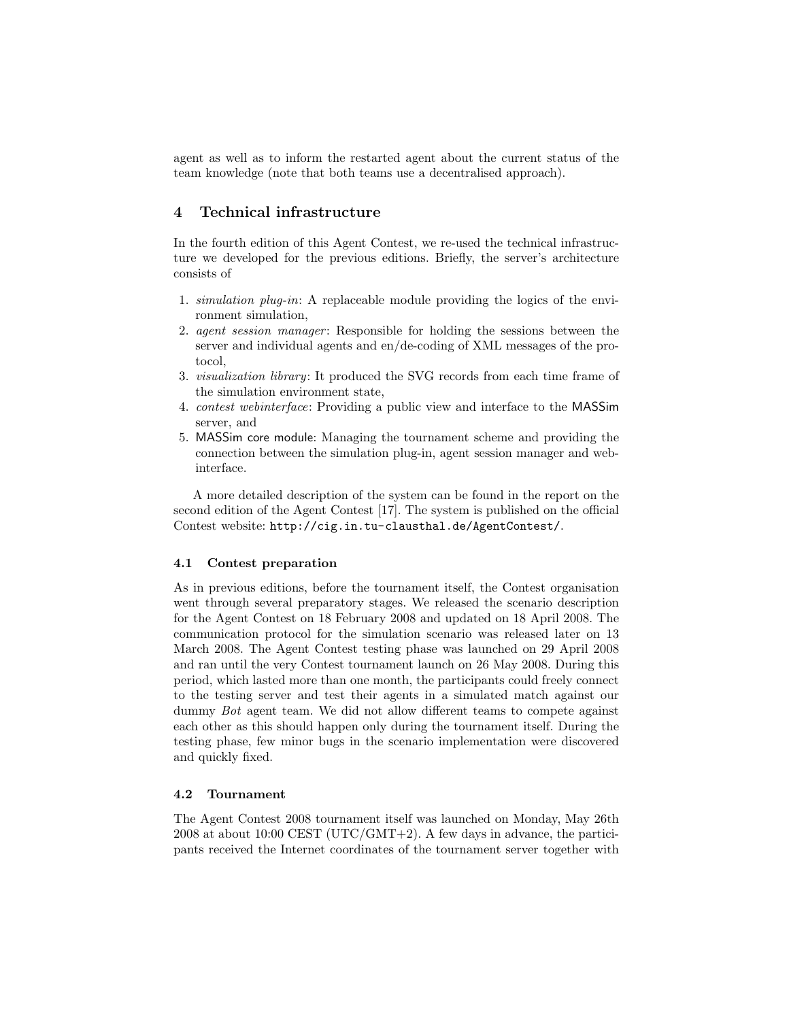agent as well as to inform the restarted agent about the current status of the team knowledge (note that both teams use a decentralised approach).

# 4 Technical infrastructure

In the fourth edition of this Agent Contest, we re-used the technical infrastructure we developed for the previous editions. Briefly, the server's architecture consists of

- 1. simulation plug-in: A replaceable module providing the logics of the environment simulation,
- 2. agent session manager: Responsible for holding the sessions between the server and individual agents and en/de-coding of XML messages of the protocol,
- 3. visualization library: It produced the SVG records from each time frame of the simulation environment state,
- 4. contest webinterface: Providing a public view and interface to the MASSim server, and
- 5. MASSim core module: Managing the tournament scheme and providing the connection between the simulation plug-in, agent session manager and webinterface.

A more detailed description of the system can be found in the report on the second edition of the Agent Contest [17]. The system is published on the official Contest website: http://cig.in.tu-clausthal.de/AgentContest/.

#### 4.1 Contest preparation

As in previous editions, before the tournament itself, the Contest organisation went through several preparatory stages. We released the scenario description for the Agent Contest on 18 February 2008 and updated on 18 April 2008. The communication protocol for the simulation scenario was released later on 13 March 2008. The Agent Contest testing phase was launched on 29 April 2008 and ran until the very Contest tournament launch on 26 May 2008. During this period, which lasted more than one month, the participants could freely connect to the testing server and test their agents in a simulated match against our dummy Bot agent team. We did not allow different teams to compete against each other as this should happen only during the tournament itself. During the testing phase, few minor bugs in the scenario implementation were discovered and quickly fixed.

#### 4.2 Tournament

The Agent Contest 2008 tournament itself was launched on Monday, May 26th  $2008$  at about 10:00 CEST (UTC/GMT+2). A few days in advance, the participants received the Internet coordinates of the tournament server together with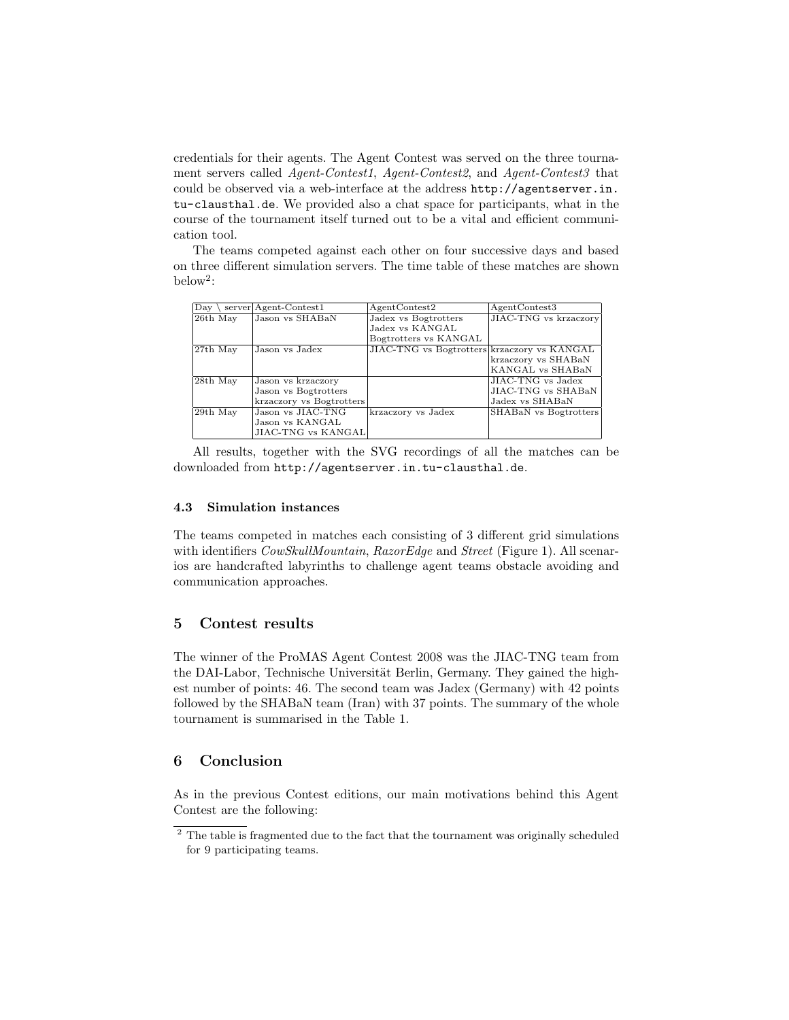credentials for their agents. The Agent Contest was served on the three tournament servers called Agent-Contest1, Agent-Contest2, and Agent-Contest3 that could be observed via a web-interface at the address http://agentserver.in. tu-clausthal.de. We provided also a chat space for participants, what in the course of the tournament itself turned out to be a vital and efficient communication tool.

The teams competed against each other on four successive days and based on three different simulation servers. The time table of these matches are shown below<sup>2</sup> :

| Dav      | server Agent-Contest1    | AgentContext2                               | AgentContest3         |
|----------|--------------------------|---------------------------------------------|-----------------------|
| 26th May | Jason vs SHABaN          | Jadex vs Bogtrotters                        | JIAC-TNG vs krzaczory |
|          |                          | Jadex vs KANGAL                             |                       |
|          |                          | Bogtrotters vs KANGAL                       |                       |
| 27th May | Jason vs Jadex           | JIAC-TNG vs Bogtrotters krzaczory vs KANGAL |                       |
|          |                          |                                             | krzaczory vs SHABaN   |
|          |                          |                                             | KANGAL vs SHABaN      |
| 28th May | Jason vs krzaczory       |                                             | JIAC-TNG vs Jadex     |
|          | Jason vs Bogtrotters     |                                             | JIAC-TNG vs SHABaN    |
|          | krzaczory vs Bogtrotters |                                             | Jadex vs SHABaN       |
| 29th May | Jason vs JIAC-TNG        | krzaczory vs Jadex                          | SHABaN vs Bogtrotters |
|          | Jason vs KANGAL          |                                             |                       |
|          | JIAC-TNG vs KANGAL       |                                             |                       |

All results, together with the SVG recordings of all the matches can be downloaded from http://agentserver.in.tu-clausthal.de.

### 4.3 Simulation instances

The teams competed in matches each consisting of 3 different grid simulations with identifiers  $CowSkullMountain$ ,  $RazorEdge$  and  $Street$  (Figure 1). All scenarios are handcrafted labyrinths to challenge agent teams obstacle avoiding and communication approaches.

## 5 Contest results

The winner of the ProMAS Agent Contest 2008 was the JIAC-TNG team from the DAI-Labor, Technische Universität Berlin, Germany. They gained the highest number of points: 46. The second team was Jadex (Germany) with 42 points followed by the SHABaN team (Iran) with 37 points. The summary of the whole tournament is summarised in the Table 1.

# 6 Conclusion

As in the previous Contest editions, our main motivations behind this Agent Contest are the following:

<sup>&</sup>lt;sup>2</sup> The table is fragmented due to the fact that the tournament was originally scheduled for 9 participating teams.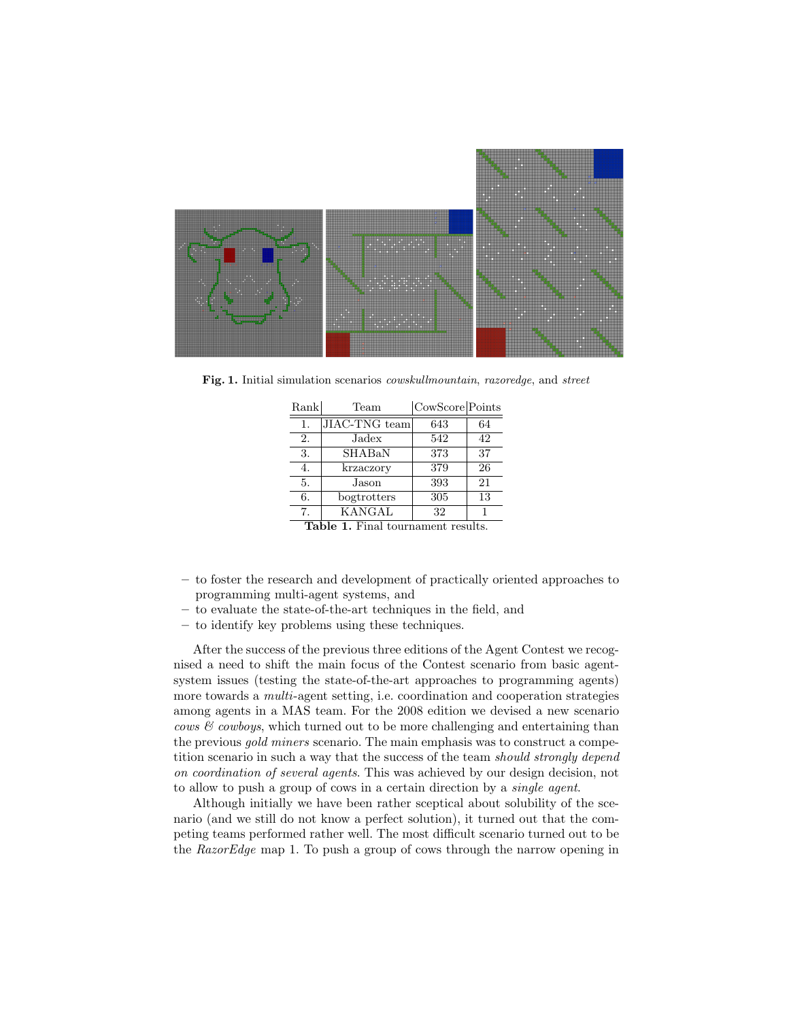

Fig. 1. Initial simulation scenarios cowskullmountain, razoredge, and street

| Rank | Team                          | CowScore Points |    |
|------|-------------------------------|-----------------|----|
| 1.   | JIAC-TNG team                 | 643             | 64 |
| 2.   | Jadex                         | 542             | 42 |
| 3.   | <b>SHABaN</b>                 | 373             | 37 |
| 4.   | krzaczory                     | 379             | 26 |
| 5.   | Jason                         | 393             | 21 |
| 6.   | $b$ ogtrotters                | 305             | 13 |
| 7.   | <b>KANGAL</b>                 | 32              |    |
| --   | $\cdots$<br>$\mathbf{r}$<br>- |                 | п. |

Table 1. Final tournament results.

- to foster the research and development of practically oriented approaches to programming multi-agent systems, and
- to evaluate the state-of-the-art techniques in the field, and
- to identify key problems using these techniques.

After the success of the previous three editions of the Agent Contest we recognised a need to shift the main focus of the Contest scenario from basic agentsystem issues (testing the state-of-the-art approaches to programming agents) more towards a multi-agent setting, i.e. coordination and cooperation strategies among agents in a MAS team. For the 2008 edition we devised a new scenario  $cows \& couboys$ , which turned out to be more challenging and entertaining than the previous gold miners scenario. The main emphasis was to construct a competition scenario in such a way that the success of the team should strongly depend on coordination of several agents. This was achieved by our design decision, not to allow to push a group of cows in a certain direction by a single agent.

Although initially we have been rather sceptical about solubility of the scenario (and we still do not know a perfect solution), it turned out that the competing teams performed rather well. The most difficult scenario turned out to be the RazorEdge map 1. To push a group of cows through the narrow opening in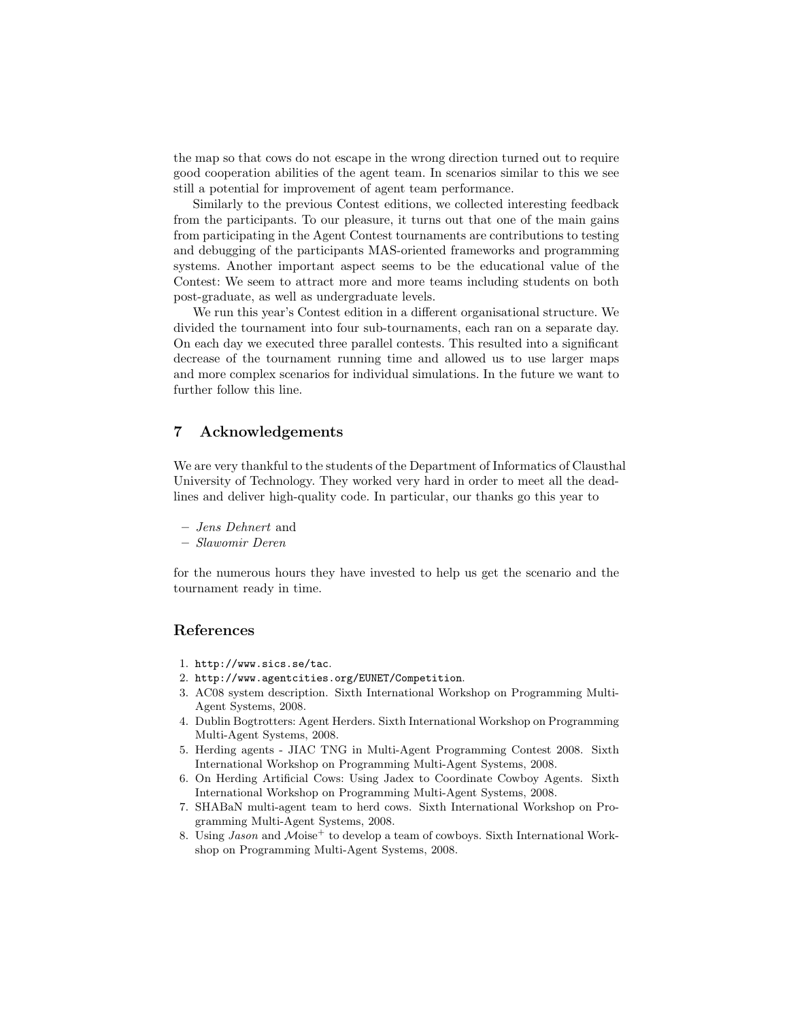the map so that cows do not escape in the wrong direction turned out to require good cooperation abilities of the agent team. In scenarios similar to this we see still a potential for improvement of agent team performance.

Similarly to the previous Contest editions, we collected interesting feedback from the participants. To our pleasure, it turns out that one of the main gains from participating in the Agent Contest tournaments are contributions to testing and debugging of the participants MAS-oriented frameworks and programming systems. Another important aspect seems to be the educational value of the Contest: We seem to attract more and more teams including students on both post-graduate, as well as undergraduate levels.

We run this year's Contest edition in a different organisational structure. We divided the tournament into four sub-tournaments, each ran on a separate day. On each day we executed three parallel contests. This resulted into a significant decrease of the tournament running time and allowed us to use larger maps and more complex scenarios for individual simulations. In the future we want to further follow this line.

# 7 Acknowledgements

We are very thankful to the students of the Department of Informatics of Clausthal University of Technology. They worked very hard in order to meet all the deadlines and deliver high-quality code. In particular, our thanks go this year to

- Jens Dehnert and
- Slawomir Deren

for the numerous hours they have invested to help us get the scenario and the tournament ready in time.

# References

- 1. http://www.sics.se/tac.
- 2. http://www.agentcities.org/EUNET/Competition.
- 3. AC08 system description. Sixth International Workshop on Programming Multi-Agent Systems, 2008.
- 4. Dublin Bogtrotters: Agent Herders. Sixth International Workshop on Programming Multi-Agent Systems, 2008.
- 5. Herding agents JIAC TNG in Multi-Agent Programming Contest 2008. Sixth International Workshop on Programming Multi-Agent Systems, 2008.
- 6. On Herding Artificial Cows: Using Jadex to Coordinate Cowboy Agents. Sixth International Workshop on Programming Multi-Agent Systems, 2008.
- 7. SHABaN multi-agent team to herd cows. Sixth International Workshop on Programming Multi-Agent Systems, 2008.
- 8. Using *Jason* and  $M$ oise<sup>+</sup> to develop a team of cowboys. Sixth International Workshop on Programming Multi-Agent Systems, 2008.